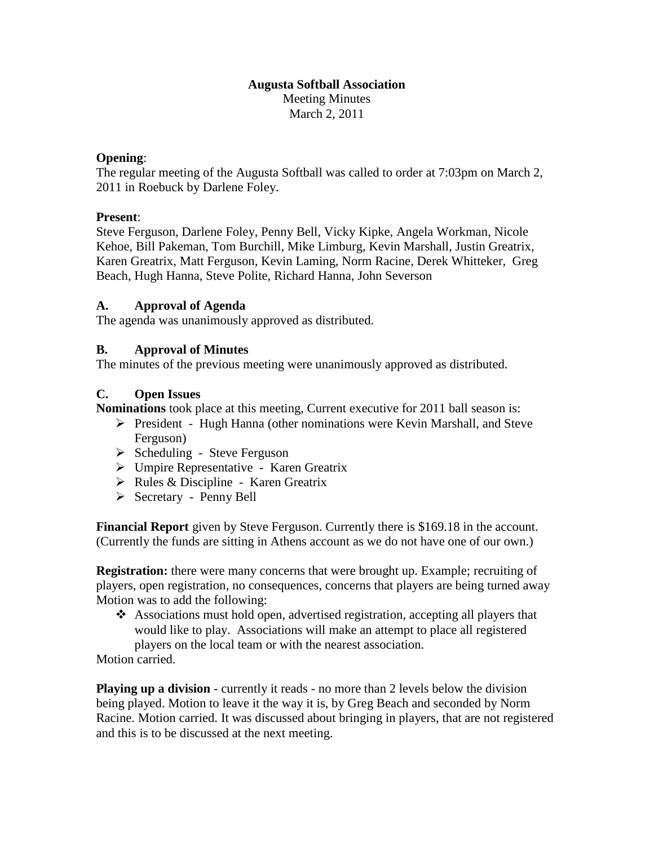### **Augusta Softball Association** Meeting Minutes March 2, 2011

#### **Opening**:

The regular meeting of the Augusta Softball was called to order at 7:03pm on March 2, 2011 in Roebuck by Darlene Foley.

### **Present**:

Steve Ferguson, Darlene Foley, Penny Bell, Vicky Kipke, Angela Workman, Nicole Kehoe, Bill Pakeman, Tom Burchill, Mike Limburg, Kevin Marshall, Justin Greatrix, Karen Greatrix, Matt Ferguson, Kevin Laming, Norm Racine, Derek Whitteker, Greg Beach, Hugh Hanna, Steve Polite, Richard Hanna, John Severson

### **A. Approval of Agenda**

The agenda was unanimously approved as distributed.

#### **B. Approval of Minutes**

The minutes of the previous meeting were unanimously approved as distributed.

### **C. Open Issues**

**Nominations** took place at this meeting, Current executive for 2011 ball season is:

- President Hugh Hanna (other nominations were Kevin Marshall, and Steve Ferguson)
- $\triangleright$  Scheduling Steve Ferguson
- Umpire Representative Karen Greatrix
- $\triangleright$  Rules & Discipline Karen Greatrix
- Secretary Penny Bell

**Financial Report** given by Steve Ferguson. Currently there is \$169.18 in the account. (Currently the funds are sitting in Athens account as we do not have one of our own.)

**Registration:** there were many concerns that were brought up. Example; recruiting of players, open registration, no consequences, concerns that players are being turned away Motion was to add the following:

 Associations must hold open, advertised registration, accepting all players that would like to play. Associations will make an attempt to place all registered players on the local team or with the nearest association.

Motion carried.

**Playing up a division** - currently it reads - no more than 2 levels below the division being played. Motion to leave it the way it is, by Greg Beach and seconded by Norm Racine. Motion carried. It was discussed about bringing in players, that are not registered and this is to be discussed at the next meeting.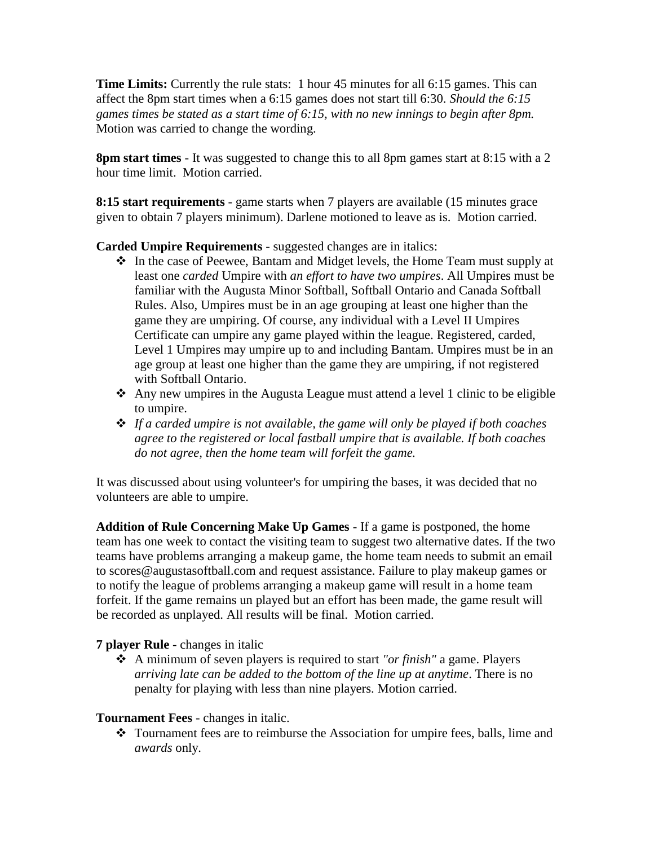**Time Limits:** Currently the rule stats: 1 hour 45 minutes for all 6:15 games. This can affect the 8pm start times when a 6:15 games does not start till 6:30. *Should the 6:15 games times be stated as a start time of 6:15, with no new innings to begin after 8pm.* Motion was carried to change the wording.

**8pm start times** - It was suggested to change this to all 8pm games start at 8:15 with a 2 hour time limit. Motion carried.

**8:15 start requirements** - game starts when 7 players are available (15 minutes grace given to obtain 7 players minimum). Darlene motioned to leave as is. Motion carried.

**Carded Umpire Requirements** - suggested changes are in italics:

- \* In the case of Peewee, Bantam and Midget levels, the Home Team must supply at least one *carded* Umpire with *an effort to have two umpires*. All Umpires must be familiar with the Augusta Minor Softball, Softball Ontario and Canada Softball Rules. Also, Umpires must be in an age grouping at least one higher than the game they are umpiring. Of course, any individual with a Level II Umpires Certificate can umpire any game played within the league. Registered, carded, Level 1 Umpires may umpire up to and including Bantam. Umpires must be in an age group at least one higher than the game they are umpiring, if not registered with Softball Ontario.
- $\triangle$  Any new umpires in the Augusta League must attend a level 1 clinic to be eligible to umpire.
- *If a carded umpire is not available, the game will only be played if both coaches agree to the registered or local fastball umpire that is available. If both coaches do not agree, then the home team will forfeit the game.*

It was discussed about using volunteer's for umpiring the bases, it was decided that no volunteers are able to umpire.

**Addition of Rule Concerning Make Up Games** - If a game is postponed, the home team has one week to contact the visiting team to suggest two alternative dates. If the two teams have problems arranging a makeup game, the home team needs to submit an email to scores@augustasoftball.com and request assistance. Failure to play makeup games or to notify the league of problems arranging a makeup game will result in a home team forfeit. If the game remains un played but an effort has been made, the game result will be recorded as unplayed. All results will be final. Motion carried.

**7 player Rule** - changes in italic

 A minimum of seven players is required to start *"or finish"* a game. Players *arriving late can be added to the bottom of the line up at anytime*. There is no penalty for playing with less than nine players. Motion carried.

# **Tournament Fees** - changes in italic.

 Tournament fees are to reimburse the Association for umpire fees, balls, lime and *awards* only.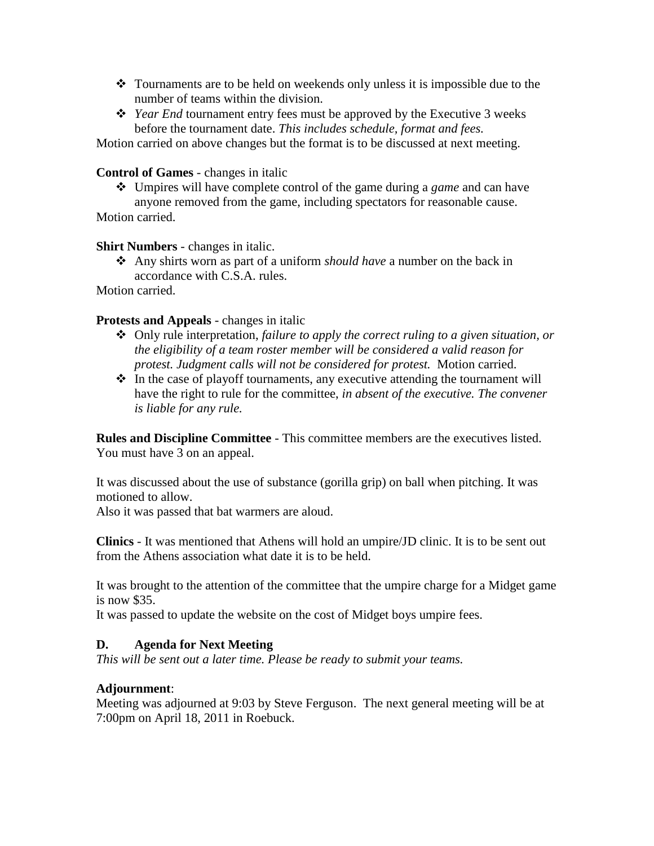- $\div$  Tournaments are to be held on weekends only unless it is impossible due to the number of teams within the division.
- *Year End* tournament entry fees must be approved by the Executive 3 weeks before the tournament date. *This includes schedule, format and fees.*

Motion carried on above changes but the format is to be discussed at next meeting.

## **Control of Games** - changes in italic

 Umpires will have complete control of the game during a *game* and can have anyone removed from the game, including spectators for reasonable cause. Motion carried.

## **Shirt Numbers** - changes in italic.

 Any shirts worn as part of a uniform *should have* a number on the back in accordance with C.S.A. rules.

Motion carried.

## **Protests and Appeals** - changes in italic

- Only rule interpretation, *failure to apply the correct ruling to a given situation, or the eligibility of a team roster member will be considered a valid reason for protest. Judgment calls will not be considered for protest.* Motion carried.
- $\cdot \cdot$  In the case of playoff tournaments, any executive attending the tournament will have the right to rule for the committee, *in absent of the executive. The convener is liable for any rule.*

**Rules and Discipline Committee** - This committee members are the executives listed. You must have 3 on an appeal.

It was discussed about the use of substance (gorilla grip) on ball when pitching. It was motioned to allow.

Also it was passed that bat warmers are aloud.

**Clinics** - It was mentioned that Athens will hold an umpire/JD clinic. It is to be sent out from the Athens association what date it is to be held.

It was brought to the attention of the committee that the umpire charge for a Midget game is now \$35.

It was passed to update the website on the cost of Midget boys umpire fees.

# **D. Agenda for Next Meeting**

*This will be sent out a later time. Please be ready to submit your teams.*

### **Adjournment**:

Meeting was adjourned at 9:03 by Steve Ferguson. The next general meeting will be at 7:00pm on April 18, 2011 in Roebuck.